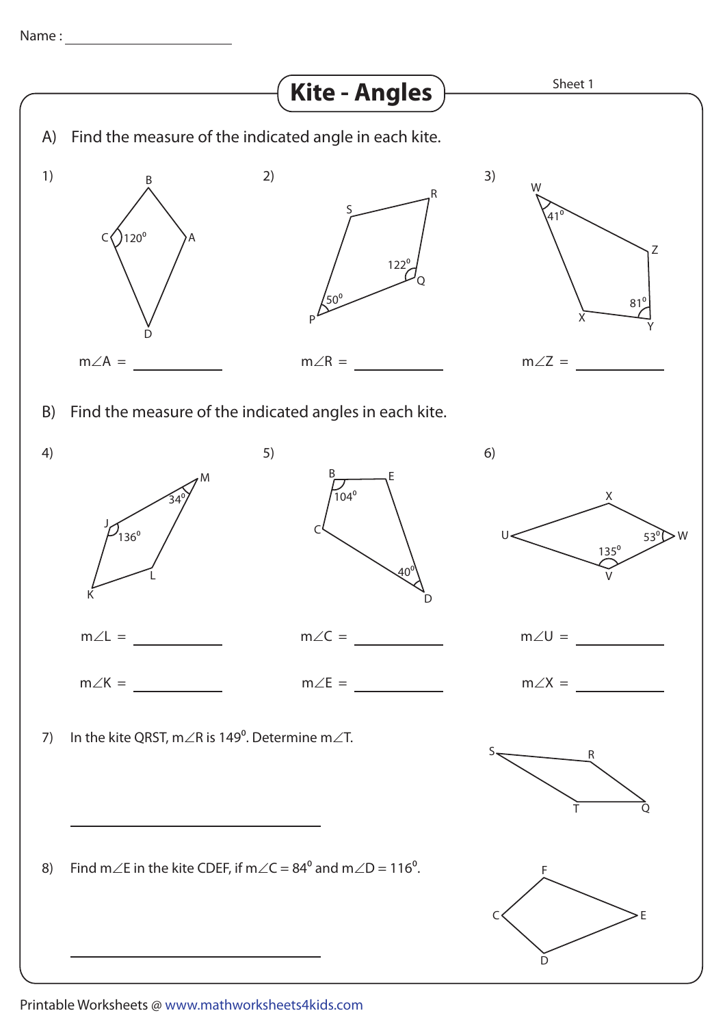